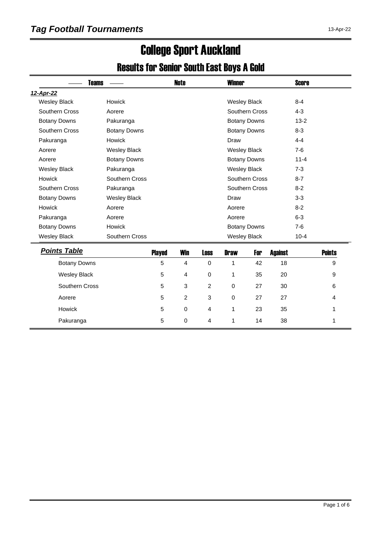# College Sport Auckland

#### Results for Senior South East Boys A Gold

| <b>Teams</b>        |                     |               | <b>Note</b>    |                | <b>Winner</b>       |                     |                | <b>Score</b> |               |
|---------------------|---------------------|---------------|----------------|----------------|---------------------|---------------------|----------------|--------------|---------------|
| 12-Apr-22           |                     |               |                |                |                     |                     |                |              |               |
| <b>Wesley Black</b> | Howick              |               |                |                | <b>Wesley Black</b> |                     |                | $8 - 4$      |               |
| Southern Cross      | Aorere              |               |                |                |                     | Southern Cross      |                | $4 - 3$      |               |
| <b>Botany Downs</b> | Pakuranga           |               |                |                |                     | <b>Botany Downs</b> |                | $13 - 2$     |               |
| Southern Cross      | <b>Botany Downs</b> |               |                |                |                     | <b>Botany Downs</b> |                | $8 - 3$      |               |
| Pakuranga           | <b>Howick</b>       |               |                |                | Draw                |                     |                | $4 - 4$      |               |
| Aorere              | <b>Wesley Black</b> |               |                |                | <b>Wesley Black</b> |                     |                | $7-6$        |               |
| Aorere              | <b>Botany Downs</b> |               |                |                |                     | <b>Botany Downs</b> |                | $11 - 4$     |               |
| <b>Wesley Black</b> | Pakuranga           |               |                |                | <b>Wesley Black</b> |                     |                | $7-3$        |               |
| <b>Howick</b>       | Southern Cross      |               |                |                |                     | Southern Cross      |                | $8 - 7$      |               |
| Southern Cross      | Pakuranga           |               |                |                |                     | Southern Cross      |                | $8 - 2$      |               |
| <b>Botany Downs</b> | <b>Wesley Black</b> |               |                |                | Draw                |                     |                | $3 - 3$      |               |
| Howick              | Aorere              |               |                |                | Aorere              |                     |                | $8 - 2$      |               |
| Pakuranga           | Aorere              |               |                |                | Aorere              |                     |                | $6 - 3$      |               |
| <b>Botany Downs</b> | Howick              |               |                |                |                     | <b>Botany Downs</b> |                | $7-6$        |               |
| <b>Wesley Black</b> | Southern Cross      |               |                |                | <b>Wesley Black</b> |                     |                | $10 - 4$     |               |
| <b>Points Table</b> |                     | <b>Played</b> | <b>Win</b>     | <b>Loss</b>    | <b>Draw</b>         | For                 | <b>Against</b> |              | <b>Points</b> |
| <b>Botany Downs</b> |                     | 5             | $\overline{4}$ | $\mathbf 0$    | 1                   | 42                  | 18             |              | 9             |
| <b>Wesley Black</b> |                     | 5             | 4              | $\pmb{0}$      | 1                   | 35                  | 20             |              | 9             |
| Southern Cross      |                     | 5             | 3              | $\overline{c}$ | 0                   | 27                  | 30             |              | 6             |
| Aorere              |                     | 5             | $\overline{2}$ | 3              | $\mathbf 0$         | 27                  | 27             |              | 4             |
| Howick              |                     | 5             | $\mathbf 0$    | 4              | 1                   | 23                  | 35             |              | 1             |
| Pakuranga           |                     | 5             | 0              | 4              | 1                   | 14                  | 38             |              | 1             |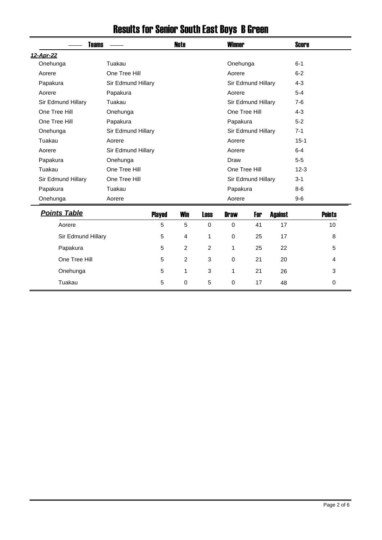| <b>Teams</b>        |                    |               | <b>Note</b>    | <b>Winner</b> |               |                    |                | <b>Score</b> |               |
|---------------------|--------------------|---------------|----------------|---------------|---------------|--------------------|----------------|--------------|---------------|
| 12-Apr-22           |                    |               |                |               |               |                    |                |              |               |
| Onehunga            | Tuakau             |               |                |               | Onehunga      |                    |                | $6 - 1$      |               |
| Aorere              | One Tree Hill      |               |                |               | Aorere        |                    |                | $6 - 2$      |               |
| Papakura            | Sir Edmund Hillary |               |                |               |               | Sir Edmund Hillary |                | $4 - 3$      |               |
| Aorere              | Papakura           |               |                |               | Aorere        |                    |                | $5 - 4$      |               |
| Sir Edmund Hillary  | Tuakau             |               |                |               |               | Sir Edmund Hillary |                | $7-6$        |               |
| One Tree Hill       | Onehunga           |               |                |               | One Tree Hill |                    |                | $4 - 3$      |               |
| One Tree Hill       | Papakura           |               |                |               | Papakura      |                    |                | $5-2$        |               |
| Onehunga            | Sir Edmund Hillary |               |                |               |               | Sir Edmund Hillary |                | $7 - 1$      |               |
| Tuakau              | Aorere             |               |                |               | Aorere        |                    |                | $15 - 1$     |               |
| Aorere              | Sir Edmund Hillary |               |                |               | Aorere        |                    |                | $6-4$        |               |
| Papakura            | Onehunga           |               |                |               | Draw          |                    |                | $5-5$        |               |
| Tuakau              | One Tree Hill      |               |                |               | One Tree Hill |                    |                | $12 - 3$     |               |
| Sir Edmund Hillary  | One Tree Hill      |               |                |               |               | Sir Edmund Hillary |                | $3 - 1$      |               |
| Papakura            | Tuakau             |               |                |               | Papakura      |                    |                | $8-6$        |               |
| Onehunga            | Aorere             |               |                |               | Aorere        |                    |                | $9-6$        |               |
| <b>Points Table</b> |                    | <b>Played</b> | Win            | <b>Loss</b>   | <b>Draw</b>   | For                | <b>Against</b> |              | <b>Points</b> |
| Aorere              |                    | 5             | 5              | $\mathbf 0$   | $\mathbf 0$   | 41                 | 17             |              | 10            |
| Sir Edmund Hillary  |                    | 5             | 4              | 1             | $\mathbf 0$   | 25                 | 17             |              | 8             |
| Papakura            |                    | 5             | 2              | 2             | 1             | 25                 | 22             |              | 5             |
| One Tree Hill       |                    | 5             | $\overline{c}$ | 3             | $\mathbf 0$   | 21                 | 20             |              | 4             |
| Onehunga            |                    | 5             | 1              | 3             | 1             | 21                 | 26             |              | 3             |
| Tuakau              |                    | 5             | 0              | 5             | 0             | 17                 | 48             |              | 0             |

# Results for Senior South East Boys B Green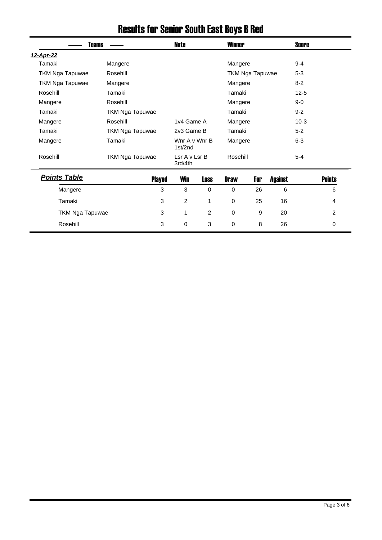| <b>Teams</b>           |                        | Note                     |                | <b>Winner</b> |                        |                | <b>Score</b> |               |  |
|------------------------|------------------------|--------------------------|----------------|---------------|------------------------|----------------|--------------|---------------|--|
| 12-Apr-22              |                        |                          |                |               |                        |                |              |               |  |
| Tamaki                 | Mangere                |                          |                | Mangere       |                        |                | $9 - 4$      |               |  |
| <b>TKM Nga Tapuwae</b> | Rosehill               |                          |                |               | <b>TKM Nga Tapuwae</b> |                | $5 - 3$      |               |  |
| <b>TKM Nga Tapuwae</b> | Mangere                |                          |                |               | Mangere                |                |              |               |  |
| Rosehill               | Tamaki                 |                          |                |               | Tamaki                 |                |              |               |  |
| Mangere                | Rosehill               |                          |                |               | Mangere                |                |              | $9-0$         |  |
| Tamaki                 | TKM Nga Tapuwae        |                          |                | Tamaki        |                        |                | $9 - 2$      |               |  |
| Mangere                | Rosehill               | 1v4 Game A               |                |               | Mangere                |                |              | $10-3$        |  |
| Tamaki                 | <b>TKM Nga Tapuwae</b> | 2v3 Game B               | Tamaki         |               |                        | $5 - 2$        |              |               |  |
| Mangere                | Tamaki                 | Wnr A v Wnr B<br>1st/2nd |                | Mangere       |                        |                | $6 - 3$      |               |  |
| Rosehill               | <b>TKM Nga Tapuwae</b> | Lsr A v Lsr B<br>3rd/4th |                | Rosehill      |                        |                | $5 - 4$      |               |  |
| <b>Points Table</b>    | <b>Played</b>          | <b>Win</b>               | <b>Loss</b>    | <b>Draw</b>   | For                    | <b>Against</b> |              | <b>Points</b> |  |
| Mangere                | 3                      | 3                        | 0              | $\Omega$      | 26                     | 6              |              | 6             |  |
| Tamaki                 | 3                      | $\overline{c}$           | 1              | $\mathbf 0$   | 25                     | 16             |              | 4             |  |
| <b>TKM Nga Tapuwae</b> | 3                      | 1                        | $\overline{2}$ | 0             | 9                      | 20             |              | 2             |  |
| Rosehill               | 3                      | $\Omega$                 | 3              | $\Omega$      | 8                      | 26             |              | 0             |  |

### Results for Senior South East Boys B Red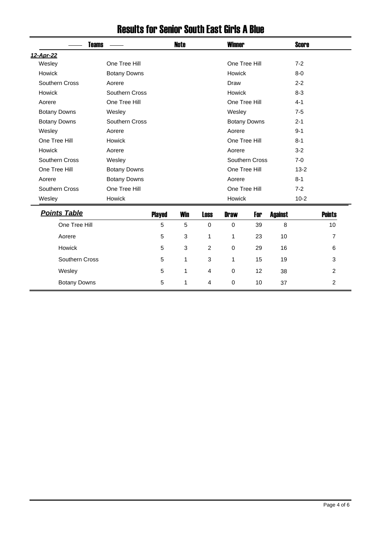|                     | <b>Teams</b>        |               | <b>Note</b> |                |               | <b>Winner</b>       |                |          | <b>Score</b>   |  |
|---------------------|---------------------|---------------|-------------|----------------|---------------|---------------------|----------------|----------|----------------|--|
| 12-Apr-22           |                     |               |             |                |               |                     |                |          |                |  |
| Wesley              | One Tree Hill       |               |             |                | One Tree Hill |                     |                | $7 - 2$  |                |  |
| <b>Howick</b>       | <b>Botany Downs</b> |               |             |                | Howick        |                     |                | $8-0$    |                |  |
| Southern Cross      | Aorere              |               |             |                | Draw          |                     |                | $2 - 2$  |                |  |
| Howick              | Southern Cross      |               |             |                | Howick        |                     |                | $8 - 3$  |                |  |
| Aorere              | One Tree Hill       |               |             |                | One Tree Hill |                     |                | $4 - 1$  |                |  |
| <b>Botany Downs</b> | Wesley              |               |             |                | Wesley        |                     |                | $7 - 5$  |                |  |
| <b>Botany Downs</b> | Southern Cross      |               |             |                |               | <b>Botany Downs</b> |                | $2 - 1$  |                |  |
| Wesley              | Aorere              |               |             |                | Aorere        |                     |                | $9 - 1$  |                |  |
| One Tree Hill       | Howick              |               |             |                | One Tree Hill |                     |                | $8 - 1$  |                |  |
| <b>Howick</b>       | Aorere              |               |             |                | Aorere        |                     |                | $3-2$    |                |  |
| Southern Cross      | Wesley              |               |             |                |               | Southern Cross      |                | $7-0$    |                |  |
| One Tree Hill       | <b>Botany Downs</b> |               |             |                | One Tree Hill |                     |                | $13 - 2$ |                |  |
| Aorere              | <b>Botany Downs</b> |               |             |                | Aorere        |                     |                | $8 - 1$  |                |  |
| Southern Cross      | One Tree Hill       |               |             |                | One Tree Hill |                     |                |          |                |  |
| Wesley              | Howick              |               |             |                | Howick        |                     |                | $10 - 2$ |                |  |
| <b>Points Table</b> |                     | <b>Played</b> | <b>Win</b>  | <b>Loss</b>    | <b>Draw</b>   | For                 | <b>Against</b> |          | <b>Points</b>  |  |
| One Tree Hill       |                     | 5             | 5           | $\Omega$       | $\mathbf 0$   | 39                  | 8              |          | 10             |  |
| Aorere              |                     | 5             | 3           | 1              | 1             | 23                  | 10             |          | 7              |  |
| Howick              |                     | 5             | 3           | $\overline{2}$ | $\mathbf 0$   | 29                  | 16             |          | 6              |  |
| Southern Cross      |                     | 5             | 1           | 3              | 1             | 15                  | 19             |          | 3              |  |
| Wesley              |                     | 5             | 1           | 4              | $\mathbf 0$   | 12                  | 38             |          | 2              |  |
| <b>Botany Downs</b> |                     | 5             | 1           | 4              | $\Omega$      | 10                  | 37             |          | $\overline{c}$ |  |

### Results for Senior South East Girls A Blue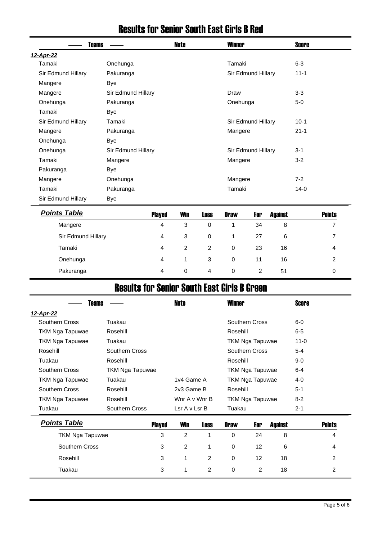|                    | Teams              | Note | <b>Winner</b>      | <b>Score</b> |  |  |  |  |  |
|--------------------|--------------------|------|--------------------|--------------|--|--|--|--|--|
| 12-Apr-22          |                    |      |                    |              |  |  |  |  |  |
| Tamaki             | Onehunga           |      | Tamaki             | $6 - 3$      |  |  |  |  |  |
| Sir Edmund Hillary | Pakuranga          |      | Sir Edmund Hillary | $11 - 1$     |  |  |  |  |  |
| Mangere            | Bye                |      |                    |              |  |  |  |  |  |
| Mangere            | Sir Edmund Hillary |      | Draw               | $3-3$        |  |  |  |  |  |
| Onehunga           | Pakuranga          |      | Onehunga           | $5-0$        |  |  |  |  |  |
| Tamaki             | Bye                |      |                    |              |  |  |  |  |  |
| Sir Edmund Hillary | Tamaki             |      | Sir Edmund Hillary | $10 - 1$     |  |  |  |  |  |
| Mangere            | Pakuranga          |      | Mangere            | $21 - 1$     |  |  |  |  |  |
| Onehunga           | Bye                |      |                    |              |  |  |  |  |  |
| Onehunga           | Sir Edmund Hillary |      | Sir Edmund Hillary | $3 - 1$      |  |  |  |  |  |
| Tamaki             | Mangere            |      | Mangere            | $3 - 2$      |  |  |  |  |  |
| Pakuranga          | <b>Bye</b>         |      |                    |              |  |  |  |  |  |
| Mangere            | Onehunga           |      | Mangere            | $7 - 2$      |  |  |  |  |  |
| Tamaki             | Pakuranga          |      | Tamaki             | $14-0$       |  |  |  |  |  |
| Sir Edmund Hillary | <b>Bye</b>         |      |                    |              |  |  |  |  |  |

#### Results for Senior South East Girls B Red

| <b>Points Table</b> | <b>Played</b> | <b>Win</b> | <b>Loss</b> | <b>Draw</b> | For | Against | <b>Points</b> |
|---------------------|---------------|------------|-------------|-------------|-----|---------|---------------|
| Mangere             | 4             | 3          | 0           |             | 34  | 8       |               |
| Sir Edmund Hillary  | 4             | 3          | 0           |             | 27  | 6       |               |
| Tamaki              | 4             | 2          | 2           | 0           | 23  | 16      | 4             |
| Onehunga            | 4             |            | 3           | 0           | 11  | 16      | 2             |
| Pakuranga           | 4             | 0          | 4           | 0           | 2   | 51      | 0             |

## Results for Senior South East Girls B Green

| Teams                  |                 |               | Note           |                | <b>Winner</b>   |                 |                |          | <b>Score</b>  |  |
|------------------------|-----------------|---------------|----------------|----------------|-----------------|-----------------|----------------|----------|---------------|--|
| <u>12-Apr-22</u>       |                 |               |                |                |                 |                 |                |          |               |  |
| Southern Cross         | Tuakau          |               |                |                |                 | Southern Cross  |                | $6-0$    |               |  |
| TKM Nga Tapuwae        | Rosehill        |               |                |                | Rosehill        |                 |                | $6-5$    |               |  |
| TKM Nga Tapuwae        | Tuakau          |               |                |                |                 | TKM Nga Tapuwae |                | $11 - 0$ |               |  |
| Rosehill               | Southern Cross  |               |                |                |                 | Southern Cross  |                | $5 - 4$  |               |  |
| Tuakau                 | Rosehill        |               |                |                | Rosehill        |                 |                | $9 - 0$  |               |  |
| Southern Cross         | TKM Nga Tapuwae |               |                |                |                 | TKM Nga Tapuwae |                | $6-4$    |               |  |
| TKM Nga Tapuwae        | Tuakau          |               | 1v4 Game A     |                |                 | TKM Nga Tapuwae |                | $4 - 0$  |               |  |
| Southern Cross         | Rosehill        |               | 2v3 Game B     |                | Rosehill        |                 |                | $5 - 1$  |               |  |
| TKM Nga Tapuwae        | Rosehill        |               | Wnr A v Wnr B  |                | TKM Nga Tapuwae |                 |                | $8-2$    |               |  |
| Tuakau                 | Southern Cross  |               | Lsr A v Lsr B  |                | Tuakau          |                 |                | $2 - 1$  |               |  |
| <b>Points Table</b>    |                 | <b>Played</b> | <b>Win</b>     | <b>Loss</b>    | <b>Draw</b>     | For             | <b>Against</b> |          | <b>Points</b> |  |
| <b>TKM Nga Tapuwae</b> |                 | 3             | 2              | 1              | $\Omega$        | 24              | 8              |          | 4             |  |
| Southern Cross         |                 | 3             | $\overline{2}$ | $\mathbf 1$    | 0               | 12              | 6              |          | 4             |  |
| Rosehill               |                 | 3             | 1              | $\overline{2}$ | 0               | 12              | 18             |          | 2             |  |

Tuakau 3 1 2 0 2 18 2